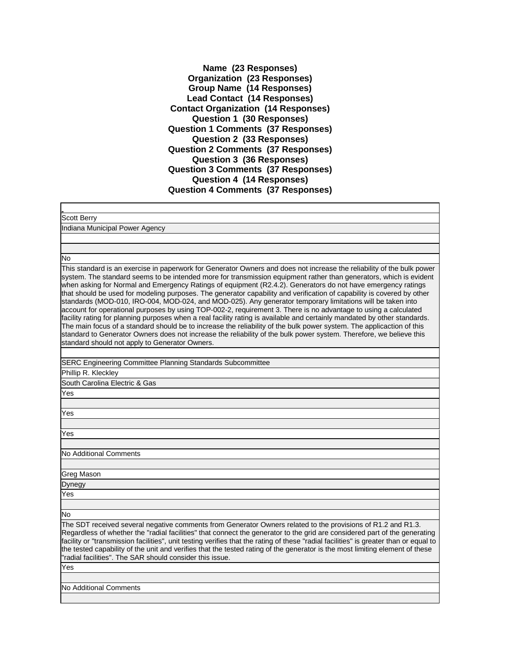**Name (23 Responses) Organization (23 Responses) Group Name (14 Responses) Lead Contact (14 Responses) Contact Organization (14 Responses) Question 1 (30 Responses) Question 1 Comments (37 Responses) Question 2 (33 Responses) Question 2 Comments (37 Responses) Question 3 (36 Responses) Question 3 Comments (37 Responses) Question 4 (14 Responses) Question 4 Comments (37 Responses)**

Scott Berry

Indiana Municipal Power Agency

No

This standard is an exercise in paperwork for Generator Owners and does not increase the reliability of the bulk power system. The standard seems to be intended more for transmission equipment rather than generators, which is evident when asking for Normal and Emergency Ratings of equipment (R2.4.2). Generators do not have emergency ratings that should be used for modeling purposes. The generator capability and verification of capability is covered by other standards (MOD-010, IRO-004, MOD-024, and MOD-025). Any generator temporary limitations will be taken into account for operational purposes by using TOP-002-2, requirement 3. There is no advantage to using a calculated facility rating for planning purposes when a real facility rating is available and certainly mandated by other standards. The main focus of a standard should be to increase the reliability of the bulk power system. The applicaction of this standard to Generator Owners does not increase the reliability of the bulk power system. Therefore, we believe this standard should not apply to Generator Owners.

SERC Engineering Committee Planning Standards Subcommittee

Phillip R. Kleckley

South Carolina Electric & Gas

Yes

Yes

Yes

No Additional Comments

Greg Mason

Dynegy

Yes

No

The SDT received several negative comments from Generator Owners related to the provisions of R1.2 and R1.3. Regardless of whether the "radial facilities" that connect the generator to the grid are considered part of the generating facility or "transmission facilities", unit testing verifies that the rating of these "radial facilities" is greater than or equal to the tested capability of the unit and verifies that the tested rating of the generator is the most limiting element of these "radial facilities". The SAR should consider this issue.

Yes

No Additional Comments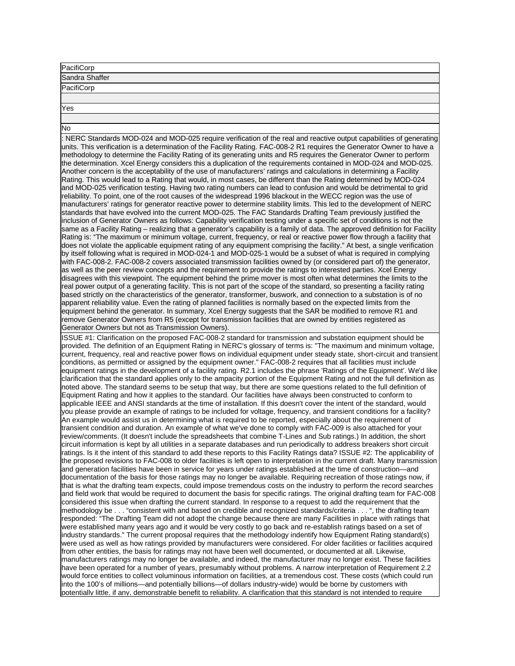| PacifiCorp     |  |
|----------------|--|
| Sandra Shaffer |  |
| PacifiCorp     |  |
|                |  |
| Yes            |  |

No

NERC Standards MOD-024 and MOD-025 require verification of the real and reactive output capabilities of generating units. This verification is a determination of the Facility Rating. FAC-008-2 R1 requires the Generator Owner to have a methodology to determine the Facility Rating of its generating units and R5 requires the Generator Owner to perform the determination. Xcel Energy considers this a duplication of the requirements contained in MOD-024 and MOD-025. Another concern is the acceptability of the use of manufacturers' ratings and calculations in determining a Facility Rating. This would lead to a Rating that would, in most cases, be different than the Rating determined by MOD-024 and MOD-025 verification testing. Having two rating numbers can lead to confusion and would be detrimental to grid reliability. To point, one of the root causes of the widespread 1996 blackout in the WECC region was the use of manufacturers' ratings for generator reactive power to determine stability limits. This led to the development of NERC standards that have evolved into the current MOD-025. The FAC Standards Drafting Team previously justified the inclusion of Generator Owners as follows: Capability verification testing under a specific set of conditions is not the same as a Facility Rating – realizing that a generator's capability is a family of data. The approved definition for Facility Rating is: "The maximum or minimum voltage, current, frequency, or real or reactive power flow through a facility that does not violate the applicable equipment rating of any equipment comprising the facility." At best, a single verification by itself following what is required in MOD-024-1 and MOD-025-1 would be a subset of what is required in complying with FAC-008-2. FAC-008-2 covers associated transmission facilities owned by (or considered part of) the generator, as well as the peer review concepts and the requirement to provide the ratings to interested parties. Xcel Energy disagrees with this viewpoint. The equipment behind the prime mover is most often what determines the limits to the real power output of a generating facility. This is not part of the scope of the standard, so presenting a facility rating based strictly on the characteristics of the generator, transformer, buswork, and connection to a substation is of no apparent reliability value. Even the rating of planned facilities is normally based on the expected limits from the equipment behind the generator. In summary, Xcel Energy suggests that the SAR be modified to remove R1 and remove Generator Owners from R5 (except for transmission facilities that are owned by entities registered as Generator Owners but not as Transmission Owners).

ISSUE #1: Clarification on the proposed FAC-008-2 standard for transmission and substation equipment should be provided. The definition of an Equipment Rating in NERC's glossary of terms is: "The maximum and minimum voltage, current, frequency, real and reactive power flows on individual equipment under steady state, short-circuit and transient conditions, as permitted or assigned by the equipment owner." FAC-008-2 requires that all facilities must include equipment ratings in the development of a facility rating. R2.1 includes the phrase 'Ratings of the Equipment'. We'd like clarification that the standard applies only to the ampacity portion of the Equipment Rating and not the full definition as noted above. The standard seems to be setup that way, but there are some questions related to the full definition of Equipment Rating and how it applies to the standard. Our facilities have always been constructed to conform to applicable IEEE and ANSI standards at the time of installation. If this doesn't cover the intent of the standard, would you please provide an example of ratings to be included for voltage, frequency, and transient conditions for a facility? An example would assist us in determining what is required to be reported, especially about the requirement of transient condition and duration. An example of what we've done to comply with FAC-009 is also attached for your review/comments. (It doesn't include the spreadsheets that combine T-Lines and Sub ratings.) In addition, the short circuit information is kept by all utilities in a separate databases and run periodically to address breakers short circuit ratings. Is it the intent of this standard to add these reports to this Facility Ratings data? ISSUE #2: The applicability of the proposed revisions to FAC-008 to older facilities is left open to interpretation in the current draft. Many transmission and generation facilities have been in service for years under ratings established at the time of construction—and documentation of the basis for those ratings may no longer be available. Requiring recreation of those ratings now, if that is what the drafting team expects, could impose tremendous costs on the industry to perform the record searches and field work that would be required to document the basis for specific ratings. The original drafting team for FAC-008 considered this issue when drafting the current standard. In response to a request to add the requirement that the methodology be . . . "consistent with and based on credible and recognized standards/criteria . . . ", the drafting team responded: "The Drafting Team did not adopt the change because there are many Facilities in place with ratings that were established many years ago and it would be very costly to go back and re-establish ratings based on a set of industry standards." The current proposal requires that the methodology indentify how Equipment Rating standard(s) were used as well as how ratings provided by manufacturers were considered. For older facilities or facilities acquired from other entities, the basis for ratings may not have been well documented, or documented at all. Likewise, manufacturers ratings may no longer be available, and indeed, the manufacturer may no longer exist. These facilities have been operated for a number of years, presumably without problems. A narrow interpretation of Requirement 2.2 would force entities to collect voluminous information on facilities, at a tremendous cost. These costs (which could run into the 100's of millions—and potentially billions—of dollars industry-wide) would be borne by customers with potentially little, if any, demonstrable benefit to reliability. A clarification that this standard is not intended to require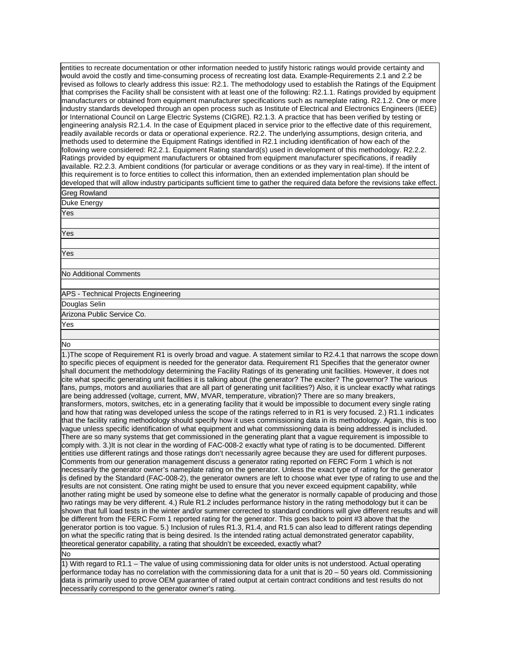entities to recreate documentation or other information needed to justify historic ratings would provide certainty and would avoid the costly and time-consuming process of recreating lost data. Example-Requirements 2.1 and 2.2 be revised as follows to clearly address this issue: R2.1. The methodology used to establish the Ratings of the Equipment that comprises the Facility shall be consistent with at least one of the following: R2.1.1. Ratings provided by equipment manufacturers or obtained from equipment manufacturer specifications such as nameplate rating. R2.1.2. One or more industry standards developed through an open process such as Institute of Electrical and Electronics Engineers (IEEE) or International Council on Large Electric Systems (CIGRE). R2.1.3. A practice that has been verified by testing or engineering analysis R2.1.4. In the case of Equipment placed in service prior to the effective date of this requirement, readily available records or data or operational experience. R2.2. The underlying assumptions, design criteria, and methods used to determine the Equipment Ratings identified in R2.1 including identification of how each of the following were considered: R2.2.1. Equipment Rating standard(s) used in development of this methodology. R2.2.2. Ratings provided by equipment manufacturers or obtained from equipment manufacturer specifications, if readily available. R2.2.3. Ambient conditions (for particular or average conditions or as they vary in real-time). If the intent of this requirement is to force entities to collect this information, then an extended implementation plan should be developed that will allow industry participants sufficient time to gather the required data before the revisions take effect. Greg Rowland

Duke Energy

Yes

Yes

Yes

No Additional Comments

APS - Technical Projects Engineering Douglas Selin Arizona Public Service Co.

Yes

## No

1.)The scope of Requirement R1 is overly broad and vague. A statement similar to R2.4.1 that narrows the scope down to specific pieces of equipment is needed for the generator data. Requirement R1 Specifies that the generator owner shall document the methodology determining the Facility Ratings of its generating unit facilities. However, it does not cite what specific generating unit facilities it is talking about (the generator? The exciter? The governor? The various fans, pumps, motors and auxiliaries that are all part of generating unit facilities?) Also, it is unclear exactly what ratings are being addressed (voltage, current, MW, MVAR, temperature, vibration)? There are so many breakers, transformers, motors, switches, etc in a generating facility that it would be impossible to document every single rating and how that rating was developed unless the scope of the ratings referred to in R1 is very focused. 2.) R1.1 indicates that the facility rating methodology should specify how it uses commissioning data in its methodology. Again, this is too vague unless specific identification of what equipment and what commissioning data is being addressed is included. There are so many systems that get commissioned in the generating plant that a vague requirement is impossible to comply with. 3.)It is not clear in the wording of FAC-008-2 exactly what type of rating is to be documented. Different entities use different ratings and those ratings don't necessarily agree because they are used for different purposes. Comments from our generation management discuss a generator rating reported on FERC Form 1 which is not necessarily the generator owner's nameplate rating on the generator. Unless the exact type of rating for the generator is defined by the Standard (FAC-008-2), the generator owners are left to choose what ever type of rating to use and the results are not consistent. One rating might be used to ensure that you never exceed equipment capability, while another rating might be used by someone else to define what the generator is normally capable of producing and those two ratings may be very different. 4.) Rule R1.2 includes performance history in the rating methodology but it can be shown that full load tests in the winter and/or summer corrected to standard conditions will give different results and will be different from the FERC Form 1 reported rating for the generator. This goes back to point #3 above that the generator portion is too vague. 5.) Inclusion of rules R1.3, R1.4, and R1.5 can also lead to different ratings depending on what the specific rating that is being desired. Is the intended rating actual demonstrated generator capability, theoretical generator capability, a rating that shouldn't be exceeded, exactly what?

## No

1) With regard to R1.1 – The value of using commissioning data for older units is not understood. Actual operating performance today has no correlation with the commissioning data for a unit that is 20 – 50 years old. Commissioning data is primarily used to prove OEM guarantee of rated output at certain contract conditions and test results do not necessarily correspond to the generator owner's rating.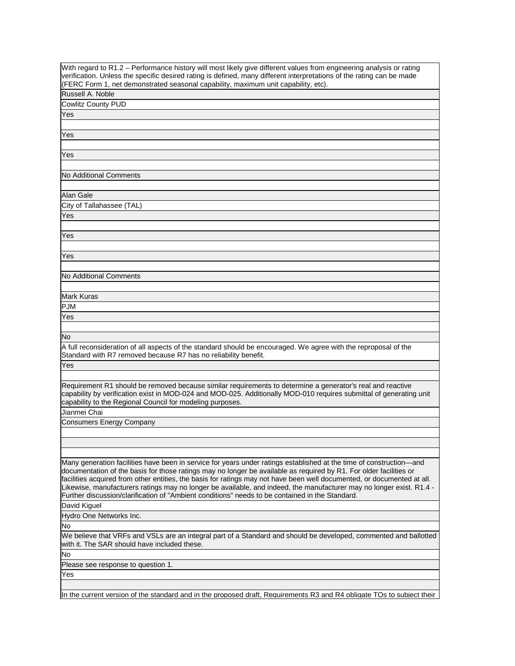With regard to R1.2 – Performance history will most likely give different values from engineering analysis or rating verification. Unless the specific desired rating is defined, many different interpretations of the rating can be made (FERC Form 1, net demonstrated seasonal capability, maximum unit capability, etc).

Russell A. Noble Cowlitz County PUD

Yes

Yes

Yes

No Additional Comments

Alan Gale

City of Tallahassee (TAL)

Yes

Yes

Yes

No Additional Comments

Mark Kuras

PJM

Yes

No

A full reconsideration of all aspects of the standard should be encouraged. We agree with the reproposal of the Standard with R7 removed because R7 has no reliability benefit.

Yes

Requirement R1 should be removed because similar requirements to determine a generator's real and reactive capability by verification exist in MOD-024 and MOD-025. Additionally MOD-010 requires submittal of generating unit capability to the Regional Council for modeling purposes.

Jianmei Chai

Consumers Energy Company

Many generation facilities have been in service for years under ratings established at the time of construction—and documentation of the basis for those ratings may no longer be available as required by R1. For older facilities or facilities acquired from other entities, the basis for ratings may not have been well documented, or documented at all. Likewise, manufacturers ratings may no longer be available, and indeed, the manufacturer may no longer exist. R1.4 - Further discussion/clarification of "Ambient conditions" needs to be contained in the Standard.

David Kiguel

Hydro One Networks Inc.

No

We believe that VRFs and VSLs are an integral part of a Standard and should be developed, commented and ballotted with it. The SAR should have included these.

No

Please see response to question 1.

Yes

In the current version of the standard and in the proposed draft, Requirements R3 and R4 obligate TOs to subject their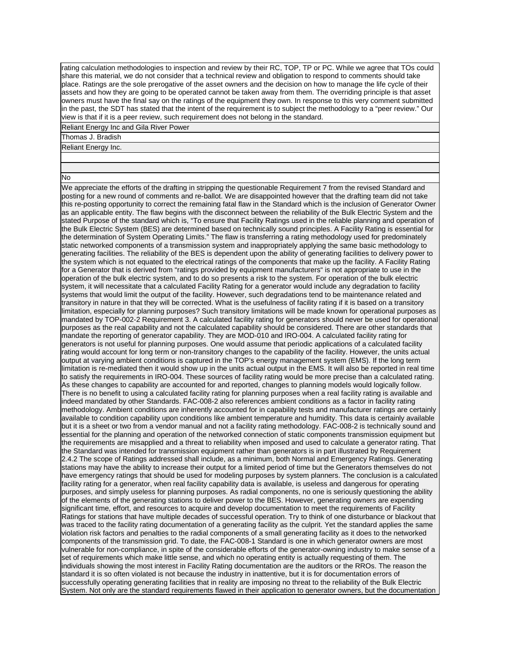rating calculation methodologies to inspection and review by their RC, TOP, TP or PC. While we agree that TOs could share this material, we do not consider that a technical review and obligation to respond to comments should take place. Ratings are the sole prerogative of the asset owners and the decision on how to manage the life cycle of their assets and how they are going to be operated cannot be taken away from them. The overriding principle is that asset owners must have the final say on the ratings of the equipment they own. In response to this very comment submitted in the past, the SDT has stated that the intent of the requirement is to subject the methodology to a "peer review." Our view is that if it is a peer review, such requirement does not belong in the standard.

Reliant Energy Inc and Gila River Power

Thomas J. Bradish

Reliant Energy Inc.

No

We appreciate the efforts of the drafting in stripping the questionable Requirement 7 from the revised Standard and posting for a new round of comments and re-ballot. We are disappointed however that the drafting team did not take this re-posting opportunity to correct the remaining fatal flaw in the Standard which is the inclusion of Generator Owner as an applicable entity. The flaw begins with the disconnect between the reliability of the Bulk Electric System and the stated Purpose of the standard which is, "To ensure that Facility Ratings used in the reliable planning and operation of the Bulk Electric System (BES) are determined based on technically sound principles. A Facility Rating is essential for the determination of System Operating Limits." The flaw is transferring a rating methodology used for predominately static networked components of a transmission system and inappropriately applying the same basic methodology to generating facilities. The reliability of the BES is dependent upon the ability of generating facilities to delivery power to the system which is not equated to the electrical ratings of the components that make up the facility. A Facility Rating for a Generator that is derived from "ratings provided by equipment manufacturers" is not appropriate to use in the operation of the bulk electric system, and to do so presents a risk to the system. For operation of the bulk electric system, it will necessitate that a calculated Facility Rating for a generator would include any degradation to facility systems that would limit the output of the facility. However, such degradations tend to be maintenance related and transitory in nature in that they will be corrected. What is the usefulness of facility rating if it is based on a transitory limitation, especially for planning purposes? Such transitory limitations will be made known for operational purposes as mandated by TOP-002-2 Requirement 3. A calculated facility rating for generators should never be used for operational purposes as the real capability and not the calculated capability should be considered. There are other standards that mandate the reporting of generator capability. They are MOD-010 and IRO-004. A calculated facility rating for generators is not useful for planning purposes. One would assume that periodic applications of a calculated facility rating would account for long term or non-transitory changes to the capability of the facility. However, the units actual output at varying ambient conditions is captured in the TOP's energy management system (EMS). If the long term limitation is re-mediated then it would show up in the units actual output in the EMS. It will also be reported in real time to satisfy the requirements in IRO-004. These sources of facility rating would be more precise than a calculated rating. As these changes to capability are accounted for and reported, changes to planning models would logically follow. There is no benefit to using a calculated facility rating for planning purposes when a real facility rating is available and indeed mandated by other Standards. FAC-008-2 also references ambient conditions as a factor in facility rating methodology. Ambient conditions are inherently accounted for in capability tests and manufacturer ratings are certainly available to condition capability upon conditions like ambient temperature and humidity. This data is certainly available but it is a sheet or two from a vendor manual and not a facility rating methodology. FAC-008-2 is technically sound and essential for the planning and operation of the networked connection of static components transmission equipment but the requirements are misapplied and a threat to reliability when imposed and used to calculate a generator rating. That the Standard was intended for transmission equipment rather than generators is in part illustrated by Requirement 2.4.2 The scope of Ratings addressed shall include, as a minimum, both Normal and Emergency Ratings. Generating stations may have the ability to increase their output for a limited period of time but the Generators themselves do not have emergency ratings that should be used for modeling purposes by system planners. The conclusion is a calculated facility rating for a generator, when real facility capability data is available, is useless and dangerous for operating purposes, and simply useless for planning purposes. As radial components, no one is seriously questioning the ability of the elements of the generating stations to deliver power to the BES. However, generating owners are expending significant time, effort, and resources to acquire and develop documentation to meet the requirements of Facility Ratings for stations that have multiple decades of successful operation. Try to think of one disturbance or blackout that was traced to the facility rating documentation of a generating facility as the culprit. Yet the standard applies the same violation risk factors and penalties to the radial components of a small generating facility as it does to the networked components of the transmission grid. To date, the FAC-008-1 Standard is one in which generator owners are most vulnerable for non-compliance, in spite of the considerable efforts of the generator-owning industry to make sense of a set of requirements which make little sense, and which no operating entity is actually requesting of them. The individuals showing the most interest in Facility Rating documentation are the auditors or the RROs. The reason the standard it is so often violated is not because the industry in inattentive, but it is for documentation errors of successfully operating generating facilities that in reality are imposing no threat to the reliability of the Bulk Electric System. Not only are the standard requirements flawed in their application to generator owners, but the documentation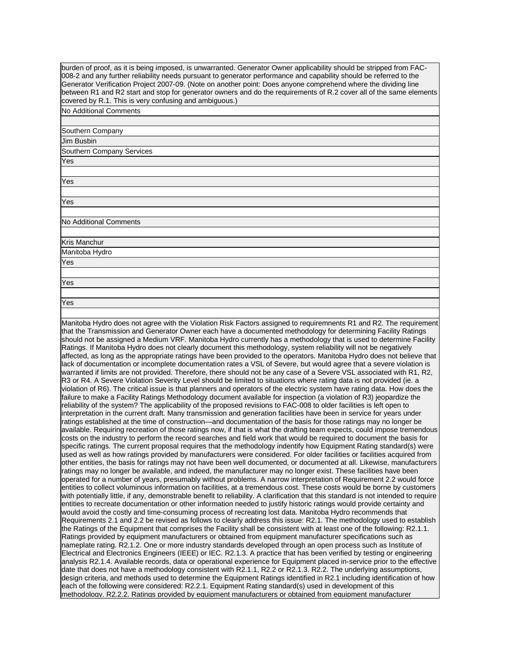burden of proof, as it is being imposed, is unwarranted. Generator Owner applicability should be stripped from FAC-008-2 and any further reliability needs pursuant to generator performance and capability should be referred to the Generator Verification Project 2007-09. (Note on another point: Does anyone comprehend where the dividing line between R1 and R2 start and stop for generator owners and do the requirements of R.2 cover all of the same elements covered by R.1. This is very confusing and ambiguous.)

No Additional Comments

Yes

| Southern Company          |
|---------------------------|
| Jim Busbin                |
| Southern Company Services |
| Yes                       |
|                           |
| Yes                       |
|                           |
| Yes                       |
|                           |
| No Additional Comments    |
|                           |
| Kris Manchur              |
| Manitoba Hydro            |
| Yes                       |
|                           |
| Yes                       |
|                           |
|                           |

Manitoba Hydro does not agree with the Violation Risk Factors assigned to requiremnents R1 and R2. The requirement that the Transmission and Generator Owner each have a documented methodology for determining Facility Ratings should not be assigned a Medium VRF. Manitoba Hydro currently has a methodology that is used to determine Facility Ratings. If Manitoba Hydro does not clearly document this methodology, system reliability will not be negatively affected, as long as the appropriate ratings have been provided to the operators. Manitoba Hydro does not believe that lack of documentation or incomplete documentation rates a VSL of Severe, but would agree that a severe violation is warranted if limits are not provided. Therefore, there should not be any case of a Severe VSL associated with R1, R2, R3 or R4. A Severe Violation Severity Level should be limited to situations where rating data is not provided (ie. a violation of R6). The critical issue is that planners and operators of the electric system have rating data. How does the failure to make a Facility Ratings Methodology document available for inspection (a violation of R3) jeopardize the reliability of the system? The applicability of the proposed revisions to FAC-008 to older facilities is left open to interpretation in the current draft. Many transmission and generation facilities have been in service for years under ratings established at the time of construction—and documentation of the basis for those ratings may no longer be available. Requiring recreation of those ratings now, if that is what the drafting team expects, could impose tremendous costs on the industry to perform the record searches and field work that would be required to document the basis for specific ratings. The current proposal requires that the methodology indentify how Equipment Rating standard(s) were used as well as how ratings provided by manufacturers were considered. For older facilities or facilities acquired from other entities, the basis for ratings may not have been well documented, or documented at all. Likewise, manufacturers ratings may no longer be available, and indeed, the manufacturer may no longer exist. These facilities have been operated for a number of years, presumably without problems. A narrow interpretation of Requirement 2.2 would force entities to collect voluminous information on facilities, at a tremendous cost. These costs would be borne by customers with potentially little, if any, demonstrable benefit to reliability. A clarification that this standard is not intended to require entities to recreate documentation or other information needed to justify historic ratings would provide certainty and would avoid the costly and time-consuming process of recreating lost data. Manitoba Hydro recommends that Requirements 2.1 and 2.2 be revised as follows to clearly address this issue: R2.1. The methodology used to establish the Ratings of the Equipment that comprises the Facility shall be consistent with at least one of the following: R2.1.1. Ratings provided by equipment manufacturers or obtained from equipment manufacturer specifications such as nameplate rating. R2.1.2. One or more industry standards developed through an open process such as Institute of Electrical and Electronics Engineers (IEEE) or IEC. R2.1.3. A practice that has been verified by testing or engineering analysis R2.1.4. Available records, data or operational experience for Equipment placed in-service prior to the effective date that does not have a methodology consistent with R2.1.1, R2.2 or R2.1.3. R2.2. The underlying assumptions, design criteria, and methods used to determine the Equipment Ratings identified in R2.1 including identification of how each of the following were considered: R2.2.1. Equipment Rating standard(s) used in development of this methodology. R2.2.2. Ratings provided by equipment manufacturers or obtained from equipment manufacturer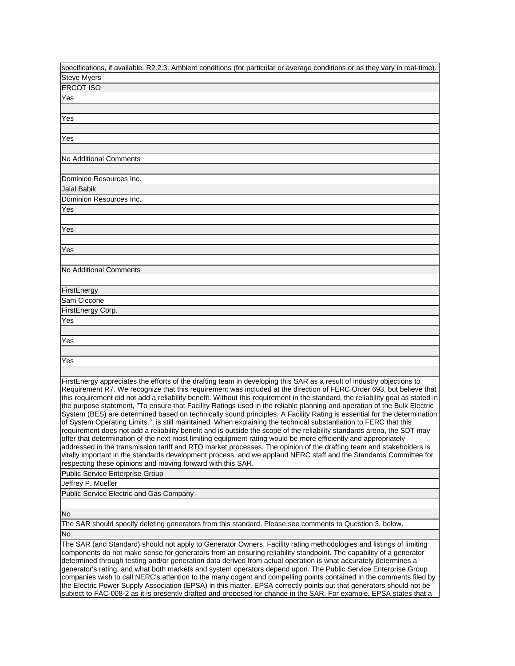| specifications, if available. R2.2.3. Ambient conditions (for particular or average conditions or as they vary in real-time).                                                                                                                                                                                                                                                                                                                                                                                                                                                                                                                                                                                                                                                                                                                                                                                                                                                                                                                                                                                                                                                                                                                                                                                         |
|-----------------------------------------------------------------------------------------------------------------------------------------------------------------------------------------------------------------------------------------------------------------------------------------------------------------------------------------------------------------------------------------------------------------------------------------------------------------------------------------------------------------------------------------------------------------------------------------------------------------------------------------------------------------------------------------------------------------------------------------------------------------------------------------------------------------------------------------------------------------------------------------------------------------------------------------------------------------------------------------------------------------------------------------------------------------------------------------------------------------------------------------------------------------------------------------------------------------------------------------------------------------------------------------------------------------------|
| <b>Steve Myers</b>                                                                                                                                                                                                                                                                                                                                                                                                                                                                                                                                                                                                                                                                                                                                                                                                                                                                                                                                                                                                                                                                                                                                                                                                                                                                                                    |
| <b>ERCOT ISO</b>                                                                                                                                                                                                                                                                                                                                                                                                                                                                                                                                                                                                                                                                                                                                                                                                                                                                                                                                                                                                                                                                                                                                                                                                                                                                                                      |
| Yes                                                                                                                                                                                                                                                                                                                                                                                                                                                                                                                                                                                                                                                                                                                                                                                                                                                                                                                                                                                                                                                                                                                                                                                                                                                                                                                   |
|                                                                                                                                                                                                                                                                                                                                                                                                                                                                                                                                                                                                                                                                                                                                                                                                                                                                                                                                                                                                                                                                                                                                                                                                                                                                                                                       |
| Yes                                                                                                                                                                                                                                                                                                                                                                                                                                                                                                                                                                                                                                                                                                                                                                                                                                                                                                                                                                                                                                                                                                                                                                                                                                                                                                                   |
|                                                                                                                                                                                                                                                                                                                                                                                                                                                                                                                                                                                                                                                                                                                                                                                                                                                                                                                                                                                                                                                                                                                                                                                                                                                                                                                       |
| Yes                                                                                                                                                                                                                                                                                                                                                                                                                                                                                                                                                                                                                                                                                                                                                                                                                                                                                                                                                                                                                                                                                                                                                                                                                                                                                                                   |
|                                                                                                                                                                                                                                                                                                                                                                                                                                                                                                                                                                                                                                                                                                                                                                                                                                                                                                                                                                                                                                                                                                                                                                                                                                                                                                                       |
| No Additional Comments                                                                                                                                                                                                                                                                                                                                                                                                                                                                                                                                                                                                                                                                                                                                                                                                                                                                                                                                                                                                                                                                                                                                                                                                                                                                                                |
|                                                                                                                                                                                                                                                                                                                                                                                                                                                                                                                                                                                                                                                                                                                                                                                                                                                                                                                                                                                                                                                                                                                                                                                                                                                                                                                       |
| Dominion Resources Inc.                                                                                                                                                                                                                                                                                                                                                                                                                                                                                                                                                                                                                                                                                                                                                                                                                                                                                                                                                                                                                                                                                                                                                                                                                                                                                               |
| Jalal Babik                                                                                                                                                                                                                                                                                                                                                                                                                                                                                                                                                                                                                                                                                                                                                                                                                                                                                                                                                                                                                                                                                                                                                                                                                                                                                                           |
| Dominion Resources Inc.                                                                                                                                                                                                                                                                                                                                                                                                                                                                                                                                                                                                                                                                                                                                                                                                                                                                                                                                                                                                                                                                                                                                                                                                                                                                                               |
| Yes                                                                                                                                                                                                                                                                                                                                                                                                                                                                                                                                                                                                                                                                                                                                                                                                                                                                                                                                                                                                                                                                                                                                                                                                                                                                                                                   |
|                                                                                                                                                                                                                                                                                                                                                                                                                                                                                                                                                                                                                                                                                                                                                                                                                                                                                                                                                                                                                                                                                                                                                                                                                                                                                                                       |
| Yes                                                                                                                                                                                                                                                                                                                                                                                                                                                                                                                                                                                                                                                                                                                                                                                                                                                                                                                                                                                                                                                                                                                                                                                                                                                                                                                   |
|                                                                                                                                                                                                                                                                                                                                                                                                                                                                                                                                                                                                                                                                                                                                                                                                                                                                                                                                                                                                                                                                                                                                                                                                                                                                                                                       |
| Yes                                                                                                                                                                                                                                                                                                                                                                                                                                                                                                                                                                                                                                                                                                                                                                                                                                                                                                                                                                                                                                                                                                                                                                                                                                                                                                                   |
|                                                                                                                                                                                                                                                                                                                                                                                                                                                                                                                                                                                                                                                                                                                                                                                                                                                                                                                                                                                                                                                                                                                                                                                                                                                                                                                       |
| No Additional Comments                                                                                                                                                                                                                                                                                                                                                                                                                                                                                                                                                                                                                                                                                                                                                                                                                                                                                                                                                                                                                                                                                                                                                                                                                                                                                                |
|                                                                                                                                                                                                                                                                                                                                                                                                                                                                                                                                                                                                                                                                                                                                                                                                                                                                                                                                                                                                                                                                                                                                                                                                                                                                                                                       |
| FirstEnergy                                                                                                                                                                                                                                                                                                                                                                                                                                                                                                                                                                                                                                                                                                                                                                                                                                                                                                                                                                                                                                                                                                                                                                                                                                                                                                           |
| Sam Ciccone                                                                                                                                                                                                                                                                                                                                                                                                                                                                                                                                                                                                                                                                                                                                                                                                                                                                                                                                                                                                                                                                                                                                                                                                                                                                                                           |
| FirstEnergy Corp.                                                                                                                                                                                                                                                                                                                                                                                                                                                                                                                                                                                                                                                                                                                                                                                                                                                                                                                                                                                                                                                                                                                                                                                                                                                                                                     |
| Yes                                                                                                                                                                                                                                                                                                                                                                                                                                                                                                                                                                                                                                                                                                                                                                                                                                                                                                                                                                                                                                                                                                                                                                                                                                                                                                                   |
|                                                                                                                                                                                                                                                                                                                                                                                                                                                                                                                                                                                                                                                                                                                                                                                                                                                                                                                                                                                                                                                                                                                                                                                                                                                                                                                       |
| Yes                                                                                                                                                                                                                                                                                                                                                                                                                                                                                                                                                                                                                                                                                                                                                                                                                                                                                                                                                                                                                                                                                                                                                                                                                                                                                                                   |
|                                                                                                                                                                                                                                                                                                                                                                                                                                                                                                                                                                                                                                                                                                                                                                                                                                                                                                                                                                                                                                                                                                                                                                                                                                                                                                                       |
| Yes                                                                                                                                                                                                                                                                                                                                                                                                                                                                                                                                                                                                                                                                                                                                                                                                                                                                                                                                                                                                                                                                                                                                                                                                                                                                                                                   |
|                                                                                                                                                                                                                                                                                                                                                                                                                                                                                                                                                                                                                                                                                                                                                                                                                                                                                                                                                                                                                                                                                                                                                                                                                                                                                                                       |
| FirstEnergy appreciates the efforts of the drafting team in developing this SAR as a result of industry objections to<br>Requirement R7. We recognize that this requirement was included at the direction of FERC Order 693, but believe that<br>this requirement did not add a reliability benefit. Without this requirement in the standard, the reliability goal as stated in<br>the purpose statement, "To ensure that Facility Ratings used in the reliable planning and operation of the Bulk Electric<br>System (BES) are determined based on technically sound principles. A Facility Rating is essential for the determination<br>of System Operating Limits.", is still maintained. When explaining the technical substantiation to FERC that this<br>requirement does not add a reliability benefit and is outside the scope of the reliability standards arena, the SDT may<br>offer that determination of the next most limiting equipment rating would be more efficiently and appropriately<br>addressed in the transmission tariff and RTO market processes. The opinion of the drafting team and stakeholders is<br>vitally important in the standards development process, and we applaud NERC staff and the Standards Committee for<br>respecting these opinions and moving forward with this SAR. |
| Public Service Enterprise Group                                                                                                                                                                                                                                                                                                                                                                                                                                                                                                                                                                                                                                                                                                                                                                                                                                                                                                                                                                                                                                                                                                                                                                                                                                                                                       |
| Jeffrey P. Mueller                                                                                                                                                                                                                                                                                                                                                                                                                                                                                                                                                                                                                                                                                                                                                                                                                                                                                                                                                                                                                                                                                                                                                                                                                                                                                                    |
| Public Service Electric and Gas Company                                                                                                                                                                                                                                                                                                                                                                                                                                                                                                                                                                                                                                                                                                                                                                                                                                                                                                                                                                                                                                                                                                                                                                                                                                                                               |
| No                                                                                                                                                                                                                                                                                                                                                                                                                                                                                                                                                                                                                                                                                                                                                                                                                                                                                                                                                                                                                                                                                                                                                                                                                                                                                                                    |
| The SAR should specify deleting generators from this standard. Please see comments to Question 3, below.                                                                                                                                                                                                                                                                                                                                                                                                                                                                                                                                                                                                                                                                                                                                                                                                                                                                                                                                                                                                                                                                                                                                                                                                              |
| No                                                                                                                                                                                                                                                                                                                                                                                                                                                                                                                                                                                                                                                                                                                                                                                                                                                                                                                                                                                                                                                                                                                                                                                                                                                                                                                    |
| The SAR (and Standard) should not apply to Generator Owners. Facility rating methodologies and listings of limiting<br>components do not make sense for generators from an ensuring reliability standpoint. The capability of a generator<br>determined through testing and/or generation data derived from actual operation is what accurately determines a<br>generator's rating, and what both markets and system operators depend upon. The Public Service Enterprise Group<br>companies wish to call NERC's attention to the many cogent and compelling points contained in the comments filed by<br>the Electric Power Supply Association (EPSA) in this matter. EPSA correctly points out that generators should not be                                                                                                                                                                                                                                                                                                                                                                                                                                                                                                                                                                                        |
| subiect to FAC-008-2 as it is presently drafted and proposed for change in the SAR. For example, EPSA states that a                                                                                                                                                                                                                                                                                                                                                                                                                                                                                                                                                                                                                                                                                                                                                                                                                                                                                                                                                                                                                                                                                                                                                                                                   |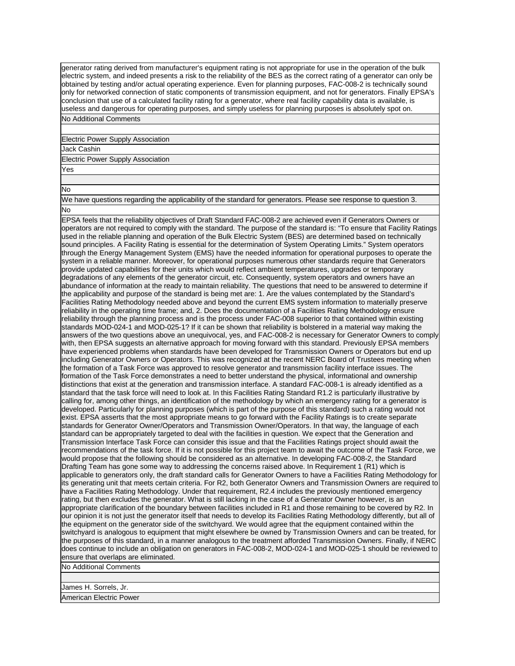generator rating derived from manufacturer's equipment rating is not appropriate for use in the operation of the bulk electric system, and indeed presents a risk to the reliability of the BES as the correct rating of a generator can only be obtained by testing and/or actual operating experience. Even for planning purposes, FAC-008-2 is technically sound only for networked connection of static components of transmission equipment, and not for generators. Finally EPSA's conclusion that use of a calculated facility rating for a generator, where real facility capability data is available, is useless and dangerous for operating purposes, and simply useless for planning purposes is absolutely spot on. No Additional Comments

Electric Power Supply Association

Jack Cashin

Electric Power Supply Association

Yes

No

We have questions regarding the applicability of the standard for generators. Please see response to question 3. No

EPSA feels that the reliability objectives of Draft Standard FAC-008-2 are achieved even if Generators Owners or operators are not required to comply with the standard. The purpose of the standard is: "To ensure that Facility Ratings used in the reliable planning and operation of the Bulk Electric System (BES) are determined based on technically sound principles. A Facility Rating is essential for the determination of System Operating Limits." System operators through the Energy Management System (EMS) have the needed information for operational purposes to operate the system in a reliable manner. Moreover, for operational purposes numerous other standards require that Generators provide updated capabilities for their units which would reflect ambient temperatures, upgrades or temporary degradations of any elements of the generator circuit, etc. Consequently, system operators and owners have an abundance of information at the ready to maintain reliability. The questions that need to be answered to determine if the applicability and purpose of the standard is being met are: 1. Are the values contemplated by the Standard's Facilities Rating Methodology needed above and beyond the current EMS system information to materially preserve reliability in the operating time frame; and, 2. Does the documentation of a Facilities Rating Methodology ensure reliability through the planning process and is the process under FAC-008 superior to that contained within existing standards MOD-024-1 and MOD-025-1? If it can be shown that reliability is bolstered in a material way making the answers of the two questions above an unequivocal, yes, and FAC-008-2 is necessary for Generator Owners to comply with, then EPSA suggests an alternative approach for moving forward with this standard. Previously EPSA members have experienced problems when standards have been developed for Transmission Owners or Operators but end up including Generator Owners or Operators. This was recognized at the recent NERC Board of Trustees meeting when the formation of a Task Force was approved to resolve generator and transmission facility interface issues. The formation of the Task Force demonstrates a need to better understand the physical, informational and ownership distinctions that exist at the generation and transmission interface. A standard FAC-008-1 is already identified as a standard that the task force will need to look at. In this Facilities Rating Standard R1.2 is particularly illustrative by calling for, among other things, an identification of the methodology by which an emergency rating for a generator is developed. Particularly for planning purposes (which is part of the purpose of this standard) such a rating would not exist. EPSA asserts that the most appropriate means to go forward with the Facility Ratings is to create separate standards for Generator Owner/Operators and Transmission Owner/Operators. In that way, the language of each standard can be appropriately targeted to deal with the facilities in question. We expect that the Generation and Transmission Interface Task Force can consider this issue and that the Facilities Ratings project should await the recommendations of the task force. If it is not possible for this project team to await the outcome of the Task Force, we would propose that the following should be considered as an alternative. In developing FAC-008-2, the Standard Drafting Team has gone some way to addressing the concerns raised above. In Requirement 1 (R1) which is applicable to generators only, the draft standard calls for Generator Owners to have a Facilities Rating Methodology for its generating unit that meets certain criteria. For R2, both Generator Owners and Transmission Owners are required to have a Facilities Rating Methodology. Under that requirement, R2.4 includes the previously mentioned emergency rating, but then excludes the generator. What is still lacking in the case of a Generator Owner however, is an appropriate clarification of the boundary between facilities included in R1 and those remaining to be covered by R2. In our opinion it is not just the generator itself that needs to develop its Facilities Rating Methodology differently, but all of the equipment on the generator side of the switchyard. We would agree that the equipment contained within the switchyard is analogous to equipment that might elsewhere be owned by Transmission Owners and can be treated, for the purposes of this standard, in a manner analogous to the treatment afforded Transmission Owners. Finally, if NERC does continue to include an obligation on generators in FAC-008-2, MOD-024-1 and MOD-025-1 should be reviewed to ensure that overlaps are eliminated.

No Additional Comments

James H. Sorrels, Jr.

American Electric Power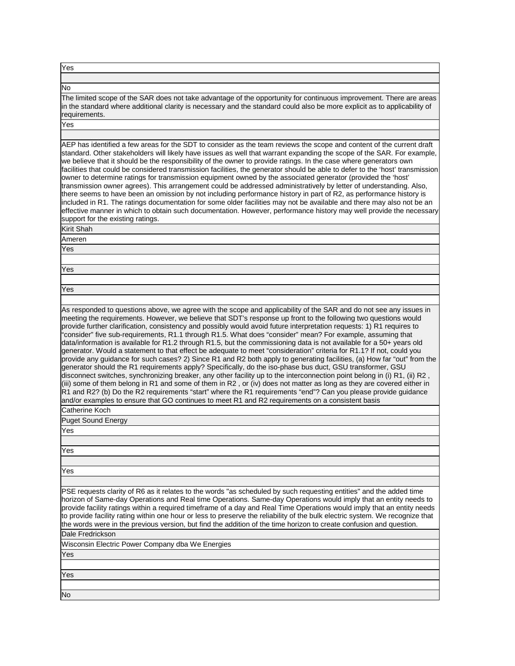Yes

## No

The limited scope of the SAR does not take advantage of the opportunity for continuous improvement. There are areas in the standard where additional clarity is necessary and the standard could also be more explicit as to applicability of requirements.

Yes

AEP has identified a few areas for the SDT to consider as the team reviews the scope and content of the current draft standard. Other stakeholders will likely have issues as well that warrant expanding the scope of the SAR. For example, we believe that it should be the responsibility of the owner to provide ratings. In the case where generators own facilities that could be considered transmission facilities, the generator should be able to defer to the 'host' transmission owner to determine ratings for transmission equipment owned by the associated generator (provided the 'host' transmission owner agrees). This arrangement could be addressed administratively by letter of understanding. Also, there seems to have been an omission by not including performance history in part of R2, as performance history is included in R1. The ratings documentation for some older facilities may not be available and there may also not be an effective manner in which to obtain such documentation. However, performance history may well provide the necessary support for the existing ratings.

Kirit Shah Ameren

Yes

Yes

Yes

As responded to questions above, we agree with the scope and applicability of the SAR and do not see any issues in meeting the requirements. However, we believe that SDT's response up front to the following two questions would provide further clarification, consistency and possibly would avoid future interpretation requests: 1) R1 requires to "consider" five sub-requirements, R1.1 through R1.5. What does "consider" mean? For example, assuming that data/information is available for R1.2 through R1.5, but the commissioning data is not available for a 50+ years old generator. Would a statement to that effect be adequate to meet "consideration" criteria for R1.1? If not, could you provide any guidance for such cases? 2) Since R1 and R2 both apply to generating facilities, (a) How far "out" from the generator should the R1 requirements apply? Specifically, do the iso-phase bus duct, GSU transformer, GSU disconnect switches, synchronizing breaker, any other facility up to the interconnection point belong in (i) R1, (ii) R2 , (iii) some of them belong in R1 and some of them in R2 , or (iv) does not matter as long as they are covered either in R1 and R2? (b) Do the R2 requirements "start" where the R1 requirements "end"? Can you please provide guidance and/or examples to ensure that GO continues to meet R1 and R2 requirements on a consistent basis

Catherine Koch

Puget Sound Energy

Yes

Yes

Yes

PSE requests clarity of R6 as it relates to the words "as scheduled by such requesting entities" and the added time horizon of Same-day Operations and Real time Operations. Same-day Operations would imply that an entity needs to provide facility ratings within a required timeframe of a day and Real Time Operations would imply that an entity needs to provide facility rating within one hour or less to preserve the reliability of the bulk electric system. We recognize that the words were in the previous version, but find the addition of the time horizon to create confusion and question. Dale Fredrickson

Wisconsin Electric Power Company dba We Energies

Yes

Yes

No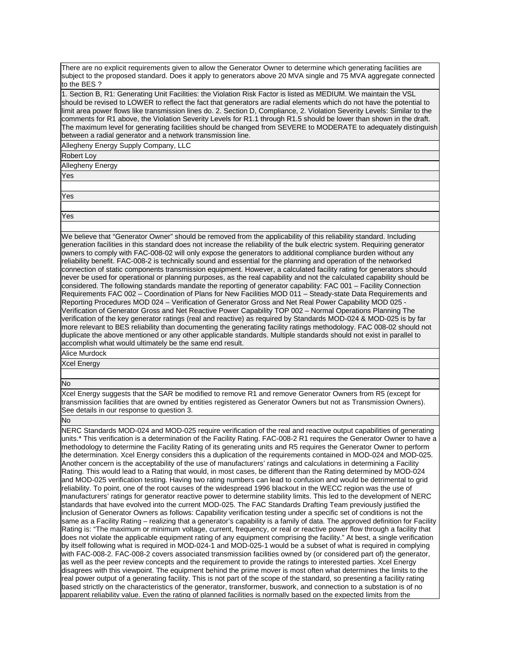There are no explicit requirements given to allow the Generator Owner to determine which generating facilities are subject to the proposed standard. Does it apply to generators above 20 MVA single and 75 MVA aggregate connected to the BES ?

1. Section B, R1: Generating Unit Facilities: the Violation Risk Factor is listed as MEDIUM. We maintain the VSL should be revised to LOWER to reflect the fact that generators are radial elements which do not have the potential to limit area power flows like transmission lines do. 2. Section D, Compliance, 2. Violation Severity Levels: Similar to the comments for R1 above, the Violation Severity Levels for R1.1 through R1.5 should be lower than shown in the draft. The maximum level for generating facilities should be changed from SEVERE to MODERATE to adequately distinguish between a radial generator and a network transmission line.

Allegheny Energy Supply Company, LLC

Robert Loy

Allegheny Energy

Yes

Yes

Yes

We believe that "Generator Owner" should be removed from the applicability of this reliability standard. Including generation facilities in this standard does not increase the reliability of the bulk electric system. Requiring generator owners to comply with FAC-008-02 will only expose the generators to additional compliance burden without any reliability benefit. FAC-008-2 is technically sound and essential for the planning and operation of the networked connection of static components transmission equipment. However, a calculated facility rating for generators should never be used for operational or planning purposes, as the real capability and not the calculated capability should be considered. The following standards mandate the reporting of generator capability: FAC 001 – Facility Connection Requirements FAC 002 – Coordination of Plans for New Facilities MOD 011 – Steady-state Data Requirements and Reporting Procedures MOD 024 – Verification of Generator Gross and Net Real Power Capability MOD 025 - Verification of Generator Gross and Net Reactive Power Capability TOP 002 – Normal Operations Planning The verification of the key generator ratings (real and reactive) as required by Standards MOD-024 & MOD-025 is by far more relevant to BES reliability than documenting the generating facility ratings methodology. FAC 008-02 should not duplicate the above mentioned or any other applicable standards. Multiple standards should not exist in parallel to accomplish what would ultimately be the same end result.

Alice Murdock

Xcel Energy

## No

Xcel Energy suggests that the SAR be modified to remove R1 and remove Generator Owners from R5 (except for transmission facilities that are owned by entities registered as Generator Owners but not as Transmission Owners). See details in our response to question 3.

No

NERC Standards MOD-024 and MOD-025 require verification of the real and reactive output capabilities of generating units.\* This verification is a determination of the Facility Rating. FAC-008-2 R1 requires the Generator Owner to have a methodology to determine the Facility Rating of its generating units and R5 requires the Generator Owner to perform the determination. Xcel Energy considers this a duplication of the requirements contained in MOD-024 and MOD-025. Another concern is the acceptability of the use of manufacturers' ratings and calculations in determining a Facility Rating. This would lead to a Rating that would, in most cases, be different than the Rating determined by MOD-024 and MOD-025 verification testing. Having two rating numbers can lead to confusion and would be detrimental to grid reliability. To point, one of the root causes of the widespread 1996 blackout in the WECC region was the use of manufacturers' ratings for generator reactive power to determine stability limits. This led to the development of NERC standards that have evolved into the current MOD-025. The FAC Standards Drafting Team previously justified the inclusion of Generator Owners as follows: Capability verification testing under a specific set of conditions is not the same as a Facility Rating – realizing that a generator's capability is a family of data. The approved definition for Facility Rating is: "The maximum or minimum voltage, current, frequency, or real or reactive power flow through a facility that does not violate the applicable equipment rating of any equipment comprising the facility." At best, a single verification by itself following what is required in MOD-024-1 and MOD-025-1 would be a subset of what is required in complying with FAC-008-2. FAC-008-2 covers associated transmission facilities owned by (or considered part of) the generator, as well as the peer review concepts and the requirement to provide the ratings to interested parties. Xcel Energy disagrees with this viewpoint. The equipment behind the prime mover is most often what determines the limits to the real power output of a generating facility. This is not part of the scope of the standard, so presenting a facility rating based strictly on the characteristics of the generator, transformer, buswork, and connection to a substation is of no apparent reliability value. Even the rating of planned facilities is normally based on the expected limits from the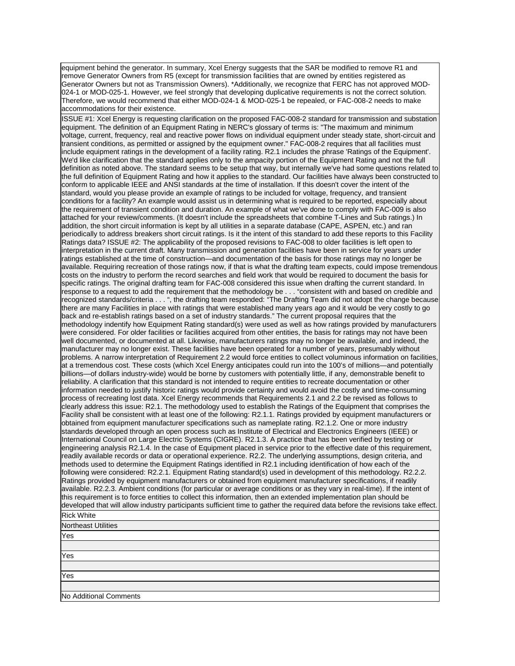equipment behind the generator. In summary, Xcel Energy suggests that the SAR be modified to remove R1 and remove Generator Owners from R5 (except for transmission facilities that are owned by entities registered as Generator Owners but not as Transmission Owners). \*Additionally, we recognize that FERC has not approved MOD-024-1 or MOD-025-1. However, we feel strongly that developing duplicative requirements is not the correct solution. Therefore, we would recommend that either MOD-024-1 & MOD-025-1 be repealed, or FAC-008-2 needs to make accommodations for their existence.

ISSUE #1: Xcel Energy is requesting clarification on the proposed FAC-008-2 standard for transmission and substation equipment. The definition of an Equipment Rating in NERC's glossary of terms is: "The maximum and minimum voltage, current, frequency, real and reactive power flows on individual equipment under steady state, short-circuit and transient conditions, as permitted or assigned by the equipment owner." FAC-008-2 requires that all facilities must include equipment ratings in the development of a facility rating. R2.1 includes the phrase 'Ratings of the Equipment'. We'd like clarification that the standard applies only to the ampacity portion of the Equipment Rating and not the full definition as noted above. The standard seems to be setup that way, but internally we've had some questions related to the full definition of Equipment Rating and how it applies to the standard. Our facilities have always been constructed to conform to applicable IEEE and ANSI standards at the time of installation. If this doesn't cover the intent of the standard, would you please provide an example of ratings to be included for voltage, frequency, and transient conditions for a facility? An example would assist us in determining what is required to be reported, especially about the requirement of transient condition and duration. An example of what we've done to comply with FAC-009 is also attached for your review/comments. (It doesn't include the spreadsheets that combine T-Lines and Sub ratings.) In addition, the short circuit information is kept by all utilities in a separate database (CAPE, ASPEN, etc.) and ran periodically to address breakers short circuit ratings. Is it the intent of this standard to add these reports to this Facility Ratings data? ISSUE #2: The applicability of the proposed revisions to FAC-008 to older facilities is left open to interpretation in the current draft. Many transmission and generation facilities have been in service for years under ratings established at the time of construction—and documentation of the basis for those ratings may no longer be available. Requiring recreation of those ratings now, if that is what the drafting team expects, could impose tremendous costs on the industry to perform the record searches and field work that would be required to document the basis for specific ratings. The original drafting team for FAC-008 considered this issue when drafting the current standard. In response to a request to add the requirement that the methodology be . . . "consistent with and based on credible and recognized standards/criteria . . . ", the drafting team responded: "The Drafting Team did not adopt the change because there are many Facilities in place with ratings that were established many years ago and it would be very costly to go back and re-establish ratings based on a set of industry standards." The current proposal requires that the methodology indentify how Equipment Rating standard(s) were used as well as how ratings provided by manufacturers were considered. For older facilities or facilities acquired from other entities, the basis for ratings may not have been well documented, or documented at all. Likewise, manufacturers ratings may no longer be available, and indeed, the manufacturer may no longer exist. These facilities have been operated for a number of years, presumably without problems. A narrow interpretation of Requirement 2.2 would force entities to collect voluminous information on facilities, at a tremendous cost. These costs (which Xcel Energy anticipates could run into the 100's of millions—and potentially billions—of dollars industry-wide) would be borne by customers with potentially little, if any, demonstrable benefit to reliability. A clarification that this standard is not intended to require entities to recreate documentation or other information needed to justify historic ratings would provide certainty and would avoid the costly and time-consuming process of recreating lost data. Xcel Energy recommends that Requirements 2.1 and 2.2 be revised as follows to clearly address this issue: R2.1. The methodology used to establish the Ratings of the Equipment that comprises the Facility shall be consistent with at least one of the following: R2.1.1. Ratings provided by equipment manufacturers or obtained from equipment manufacturer specifications such as nameplate rating. R2.1.2. One or more industry standards developed through an open process such as Institute of Electrical and Electronics Engineers (IEEE) or International Council on Large Electric Systems (CIGRE). R2.1.3. A practice that has been verified by testing or engineering analysis R2.1.4. In the case of Equipment placed in service prior to the effective date of this requirement, readily available records or data or operational experience. R2.2. The underlying assumptions, design criteria, and methods used to determine the Equipment Ratings identified in R2.1 including identification of how each of the following were considered: R2.2.1. Equipment Rating standard(s) used in development of this methodology. R2.2.2. Ratings provided by equipment manufacturers or obtained from equipment manufacturer specifications, if readily available. R2.2.3. Ambient conditions (for particular or average conditions or as they vary in real-time). If the intent of this requirement is to force entities to collect this information, then an extended implementation plan should be developed that will allow industry participants sufficient time to gather the required data before the revisions take effect. Rick White Northeast Utilities

| $I$ Notuleast Olimues  |  |
|------------------------|--|
| Yes                    |  |
|                        |  |
| Yes                    |  |
|                        |  |
| Yes                    |  |
|                        |  |
| No Additional Comments |  |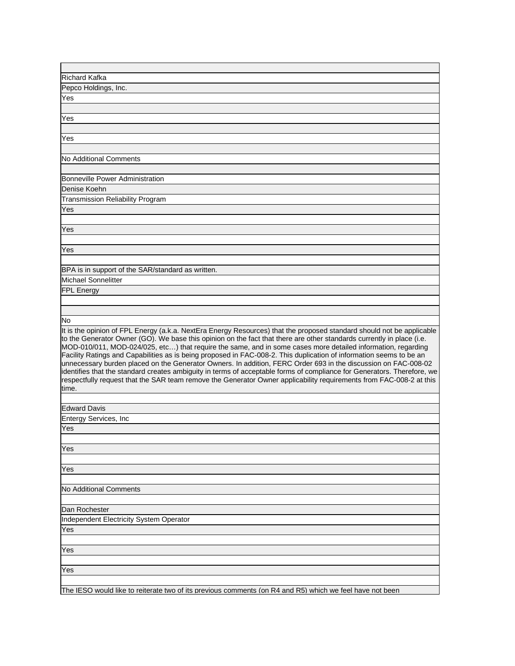| Richard Kafka                                                                                                                                                                                                                                                                                                                                                                                                                                                                                                                                                                                                                                                                                                                                                                                                                                                      |
|--------------------------------------------------------------------------------------------------------------------------------------------------------------------------------------------------------------------------------------------------------------------------------------------------------------------------------------------------------------------------------------------------------------------------------------------------------------------------------------------------------------------------------------------------------------------------------------------------------------------------------------------------------------------------------------------------------------------------------------------------------------------------------------------------------------------------------------------------------------------|
| Pepco Holdings, Inc.                                                                                                                                                                                                                                                                                                                                                                                                                                                                                                                                                                                                                                                                                                                                                                                                                                               |
| Yes                                                                                                                                                                                                                                                                                                                                                                                                                                                                                                                                                                                                                                                                                                                                                                                                                                                                |
|                                                                                                                                                                                                                                                                                                                                                                                                                                                                                                                                                                                                                                                                                                                                                                                                                                                                    |
| Yes                                                                                                                                                                                                                                                                                                                                                                                                                                                                                                                                                                                                                                                                                                                                                                                                                                                                |
| Yes                                                                                                                                                                                                                                                                                                                                                                                                                                                                                                                                                                                                                                                                                                                                                                                                                                                                |
|                                                                                                                                                                                                                                                                                                                                                                                                                                                                                                                                                                                                                                                                                                                                                                                                                                                                    |
| No Additional Comments                                                                                                                                                                                                                                                                                                                                                                                                                                                                                                                                                                                                                                                                                                                                                                                                                                             |
|                                                                                                                                                                                                                                                                                                                                                                                                                                                                                                                                                                                                                                                                                                                                                                                                                                                                    |
| Bonneville Power Administration                                                                                                                                                                                                                                                                                                                                                                                                                                                                                                                                                                                                                                                                                                                                                                                                                                    |
| Denise Koehn                                                                                                                                                                                                                                                                                                                                                                                                                                                                                                                                                                                                                                                                                                                                                                                                                                                       |
| Transmission Reliability Program                                                                                                                                                                                                                                                                                                                                                                                                                                                                                                                                                                                                                                                                                                                                                                                                                                   |
| Yes                                                                                                                                                                                                                                                                                                                                                                                                                                                                                                                                                                                                                                                                                                                                                                                                                                                                |
|                                                                                                                                                                                                                                                                                                                                                                                                                                                                                                                                                                                                                                                                                                                                                                                                                                                                    |
| Yes                                                                                                                                                                                                                                                                                                                                                                                                                                                                                                                                                                                                                                                                                                                                                                                                                                                                |
|                                                                                                                                                                                                                                                                                                                                                                                                                                                                                                                                                                                                                                                                                                                                                                                                                                                                    |
| Yes                                                                                                                                                                                                                                                                                                                                                                                                                                                                                                                                                                                                                                                                                                                                                                                                                                                                |
|                                                                                                                                                                                                                                                                                                                                                                                                                                                                                                                                                                                                                                                                                                                                                                                                                                                                    |
| BPA is in support of the SAR/standard as written.                                                                                                                                                                                                                                                                                                                                                                                                                                                                                                                                                                                                                                                                                                                                                                                                                  |
| Michael Sonnelitter                                                                                                                                                                                                                                                                                                                                                                                                                                                                                                                                                                                                                                                                                                                                                                                                                                                |
| FPL Energy                                                                                                                                                                                                                                                                                                                                                                                                                                                                                                                                                                                                                                                                                                                                                                                                                                                         |
|                                                                                                                                                                                                                                                                                                                                                                                                                                                                                                                                                                                                                                                                                                                                                                                                                                                                    |
|                                                                                                                                                                                                                                                                                                                                                                                                                                                                                                                                                                                                                                                                                                                                                                                                                                                                    |
| No                                                                                                                                                                                                                                                                                                                                                                                                                                                                                                                                                                                                                                                                                                                                                                                                                                                                 |
| It is the opinion of FPL Energy (a.k.a. NextEra Energy Resources) that the proposed standard should not be applicable<br>to the Generator Owner (GO). We base this opinion on the fact that there are other standards currently in place (i.e.<br>MOD-010/011, MOD-024/025, etc) that require the same, and in some cases more detailed information, regarding<br>Facility Ratings and Capabilities as is being proposed in FAC-008-2. This duplication of information seems to be an<br>unnecessary burden placed on the Generator Owners. In addition, FERC Order 693 in the discussion on FAC-008-02<br>identifies that the standard creates ambiguity in terms of acceptable forms of compliance for Generators. Therefore, we<br>respectfully request that the SAR team remove the Generator Owner applicability requirements from FAC-008-2 at this<br>time. |
|                                                                                                                                                                                                                                                                                                                                                                                                                                                                                                                                                                                                                                                                                                                                                                                                                                                                    |
| <b>Edward Davis</b><br>Entergy Services, Inc                                                                                                                                                                                                                                                                                                                                                                                                                                                                                                                                                                                                                                                                                                                                                                                                                       |
| Yes                                                                                                                                                                                                                                                                                                                                                                                                                                                                                                                                                                                                                                                                                                                                                                                                                                                                |
|                                                                                                                                                                                                                                                                                                                                                                                                                                                                                                                                                                                                                                                                                                                                                                                                                                                                    |
| Yes                                                                                                                                                                                                                                                                                                                                                                                                                                                                                                                                                                                                                                                                                                                                                                                                                                                                |
|                                                                                                                                                                                                                                                                                                                                                                                                                                                                                                                                                                                                                                                                                                                                                                                                                                                                    |
| Yes                                                                                                                                                                                                                                                                                                                                                                                                                                                                                                                                                                                                                                                                                                                                                                                                                                                                |
|                                                                                                                                                                                                                                                                                                                                                                                                                                                                                                                                                                                                                                                                                                                                                                                                                                                                    |
| No Additional Comments                                                                                                                                                                                                                                                                                                                                                                                                                                                                                                                                                                                                                                                                                                                                                                                                                                             |
|                                                                                                                                                                                                                                                                                                                                                                                                                                                                                                                                                                                                                                                                                                                                                                                                                                                                    |
| Dan Rochester                                                                                                                                                                                                                                                                                                                                                                                                                                                                                                                                                                                                                                                                                                                                                                                                                                                      |
| <b>Independent Electricity System Operator</b>                                                                                                                                                                                                                                                                                                                                                                                                                                                                                                                                                                                                                                                                                                                                                                                                                     |
| Yes                                                                                                                                                                                                                                                                                                                                                                                                                                                                                                                                                                                                                                                                                                                                                                                                                                                                |
|                                                                                                                                                                                                                                                                                                                                                                                                                                                                                                                                                                                                                                                                                                                                                                                                                                                                    |
| Yes                                                                                                                                                                                                                                                                                                                                                                                                                                                                                                                                                                                                                                                                                                                                                                                                                                                                |
|                                                                                                                                                                                                                                                                                                                                                                                                                                                                                                                                                                                                                                                                                                                                                                                                                                                                    |
| Yes                                                                                                                                                                                                                                                                                                                                                                                                                                                                                                                                                                                                                                                                                                                                                                                                                                                                |
|                                                                                                                                                                                                                                                                                                                                                                                                                                                                                                                                                                                                                                                                                                                                                                                                                                                                    |
| The IESO would like to reiterate two of its previous comments (on R4 and R5) which we feel have not been                                                                                                                                                                                                                                                                                                                                                                                                                                                                                                                                                                                                                                                                                                                                                           |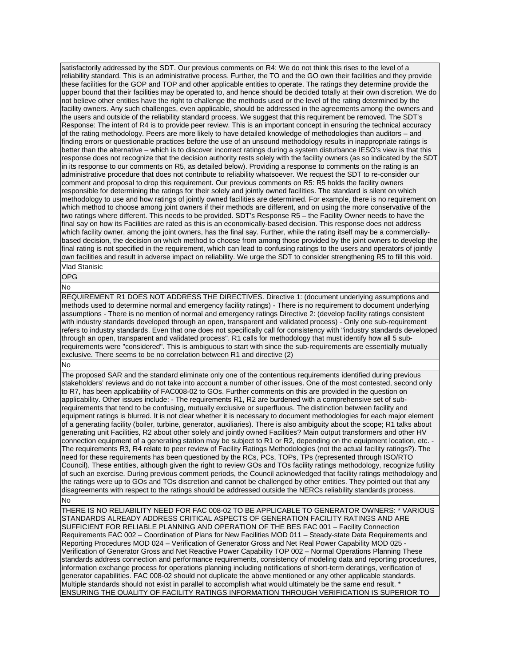satisfactorily addressed by the SDT. Our previous comments on R4: We do not think this rises to the level of a reliability standard. This is an administrative process. Further, the TO and the GO own their facilities and they provide these facilities for the GOP and TOP and other applicable entities to operate. The ratings they determine provide the upper bound that their facilities may be operated to, and hence should be decided totally at their own discretion. We do not believe other entities have the right to challenge the methods used or the level of the rating determined by the facility owners. Any such challenges, even applicable, should be addressed in the agreements among the owners and the users and outside of the reliability standard process. We suggest that this requirement be removed. The SDT's Response: The intent of R4 is to provide peer review. This is an important concept in ensuring the technical accuracy of the rating methodology. Peers are more likely to have detailed knowledge of methodologies than auditors – and finding errors or questionable practices before the use of an unsound methodology results in inappropriate ratings is better than the alternative – which is to discover incorrect ratings during a system disturbance IESO's view is that this response does not recognize that the decision authority rests solely with the facility owners (as so indicated by the SDT in its response to our comments on R5, as detailed below). Providing a response to comments on the rating is an administrative procedure that does not contribute to reliability whatsoever. We request the SDT to re-consider our comment and proposal to drop this requirement. Our previous comments on R5: R5 holds the facility owners responsible for determining the ratings for their solely and jointly owned facilities. The standard is silent on which methodology to use and how ratings of jointly owned facilities are determined. For example, there is no requirement on which method to choose among joint owners if their methods are different, and on using the more conservative of the two ratings where different. This needs to be provided. SDT's Response R5 – the Facility Owner needs to have the final say on how its Facilities are rated as this is an economically-based decision. This response does not address which facility owner, among the joint owners, has the final say. Further, while the rating itself may be a commerciallybased decision, the decision on which method to choose from among those provided by the joint owners to develop the final rating is not specified in the requirement, which can lead to confusing ratings to the users and operators of jointly own facilities and result in adverse impact on reliability. We urge the SDT to consider strengthening R5 to fill this void. Vlad Stanisic

OPG

No

REQUIREMENT R1 DOES NOT ADDRESS THE DIRECTIVES. Directive 1: (document underlying assumptions and methods used to determine normal and emergency facility ratings) - There is no requirement to document underlying assumptions - There is no mention of normal and emergency ratings Directive 2: (develop facility ratings consistent with industry standards developed through an open, transparent and validated process) - Only one sub-requirement refers to industry standards. Even that one does not specifically call for consistency with "industry standards developed through an open, transparent and validated process". R1 calls for methodology that must identify how all 5 subrequirements were "considered". This is ambiguous to start with since the sub-requirements are essentially mutually exclusive. There seems to be no correlation between R1 and directive (2)

No

The proposed SAR and the standard eliminate only one of the contentious requirements identified during previous stakeholders' reviews and do not take into account a number of other issues. One of the most contested, second only to R7, has been applicability of FAC008-02 to GOs. Further comments on this are provided in the question on applicability. Other issues include: - The requirements R1, R2 are burdened with a comprehensive set of subrequirements that tend to be confusing, mutually exclusive or superfluous. The distinction between facility and equipment ratings is blurred. It is not clear whether it is necessary to document methodologies for each major element of a generating facility (boiler, turbine, generator, auxiliaries). There is also ambiguity about the scope; R1 talks about generating unit Facilities, R2 about other solely and jointly owned Facilities? Main output transformers and other HV connection equipment of a generating station may be subject to R1 or R2, depending on the equipment location, etc. - The requirements R3, R4 relate to peer review of Facility Ratings Methodologies (not the actual facility ratings?). The need for these requirements has been questioned by the RCs, PCs, TOPs, TPs (represented through ISO/RTO Council). These entities, although given the right to review GOs and TOs facility ratings methodology, recognize futility of such an exercise. During previous comment periods, the Council acknowledged that facility ratings methodology and the ratings were up to GOs and TOs discretion and cannot be challenged by other entities. They pointed out that any disagreements with respect to the ratings should be addressed outside the NERCs reliability standards process.

No

THERE IS NO RELIABILITY NEED FOR FAC 008-02 TO BE APPLICABLE TO GENERATOR OWNERS: \* VARIOUS STANDARDS ALREADY ADDRESS CRITICAL ASPECTS OF GENERATION FACILITY RATINGS AND ARE SUFFICIENT FOR RELIABLE PLANNING AND OPERATION OF THE BES FAC 001 – Facility Connection Requirements FAC 002 – Coordination of Plans for New Facilities MOD 011 – Steady-state Data Requirements and Reporting Procedures MOD 024 – Verification of Generator Gross and Net Real Power Capability MOD 025 - Verification of Generator Gross and Net Reactive Power Capability TOP 002 – Normal Operations Planning These standards address connection and performance requirements, consistency of modeling data and reporting procedures, information exchange process for operations planning including notifications of short-term deratings, verification of generator capabilities. FAC 008-02 should not duplicate the above mentioned or any other applicable standards. Multiple standards should not exist in parallel to accomplish what would ultimately be the same end result. \* ENSURING THE QUALITY OF FACILITY RATINGS INFORMATION THROUGH VERIFICATION IS SUPERIOR TO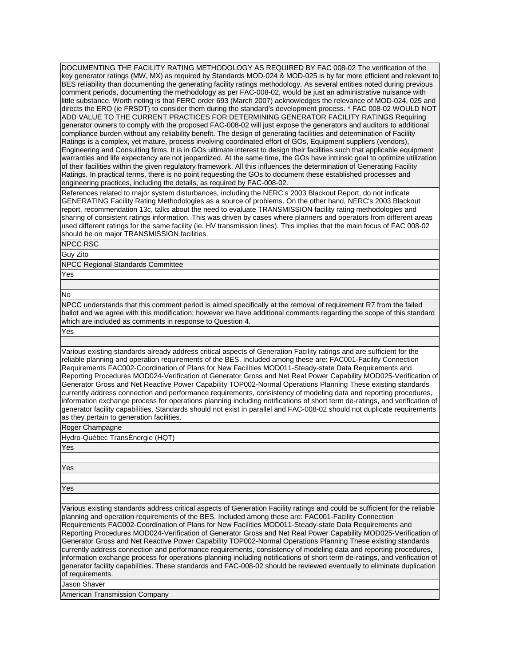DOCUMENTING THE FACILITY RATING METHODOLOGY AS REQUIRED BY FAC 008-02 The verification of the key generator ratings (MW, MX) as required by Standards MOD-024 & MOD-025 is by far more efficient and relevant to BES reliability than documenting the generating facility ratings methodology. As several entities noted during previous comment periods, documenting the methodology as per FAC-008-02, would be just an administrative nuisance with little substance. Worth noting is that FERC order 693 (March 2007) acknowledges the relevance of MOD-024, 025 and directs the ERO (ie FRSDT) to consider them during the standard's development process. \* FAC 008-02 WOULD NOT ADD VALUE TO THE CURRENT PRACTICES FOR DETERMINING GENERATOR FACILITY RATINGS Requiring generator owners to comply with the proposed FAC-008-02 will just expose the generators and auditors to additional compliance burden without any reliability benefit. The design of generating facilities and determination of Facility Ratings is a complex, yet mature, process involving coordinated effort of GOs, Equipment suppliers (vendors), Engineering and Consulting firms. It is in GOs ultimate interest to design their facilities such that applicable equipment warranties and life expectancy are not jeopardized. At the same time, the GOs have intrinsic goal to optimize utilization of their facilities within the given regulatory framework. All this influences the determination of Generating Facility Ratings. In practical terms, there is no point requesting the GOs to document these established processes and engineering practices, including the details, as required by FAC-008-02.

References related to major system disturbances, including the NERC's 2003 Blackout Report, do not indicate GENERATING Facility Rating Methodologies as a source of problems. On the other hand, NERC's 2003 Blackout report, recommendation 13c, talks about the need to evaluate TRANSMISSION facility rating methodologies and sharing of consistent ratings information. This was driven by cases where planners and operators from different areas used different ratings for the same facility (ie. HV transmission lines). This implies that the main focus of FAC 008-02 should be on major TRANSMISSION facilities.

NPCC RSC

Guy Zito

NPCC Regional Standards Committee

Yes

No

NPCC understands that this comment period is aimed specifically at the removal of requirement R7 from the failed ballot and we agree with this modification; however we have additional comments regarding the scope of this standard which are included as comments in response to Question 4.

Yes

Various existing standards already address critical aspects of Generation Facility ratings and are sufficient for the reliable planning and operation requirements of the BES. Included among these are: FAC001-Facility Connection Requirements FAC002-Coordination of Plans for New Facilities MOD011-Steady-state Data Requirements and Reporting Procedures MOD024-Verification of Generator Gross and Net Real Power Capability MOD025-Verification of Generator Gross and Net Reactive Power Capability TOP002-Normal Operations Planning These existing standards currently address connection and performance requirements, consistency of modeling data and reporting procedures, information exchange process for operations planning including notifications of short term de-ratings, and verification of generator facility capabilities. Standards should not exist in parallel and FAC-008-02 should not duplicate requirements as they pertain to generation facilities.

Roger Champagne

Hydro-Québec TransÉnergie (HQT)

Yes

Yes

Yes

Various existing standards address critical aspects of Generation Facility ratings and could be sufficient for the reliable planning and operation requirements of the BES. Included among these are: FAC001-Facility Connection Requirements FAC002-Coordination of Plans for New Facilities MOD011-Steady-state Data Requirements and Reporting Procedures MOD024-Verification of Generator Gross and Net Real Power Capability MOD025-Verification of Generator Gross and Net Reactive Power Capability TOP002-Normal Operations Planning These existing standards currently address connection and performance requirements, consistency of modeling data and reporting procedures, information exchange process for operations planning including notifications of short term de-ratings, and verification of generator facility capabilities. These standards and FAC-008-02 should be reviewed eventually to eliminate duplication of requirements.

Jason Shaver

American Transmission Company